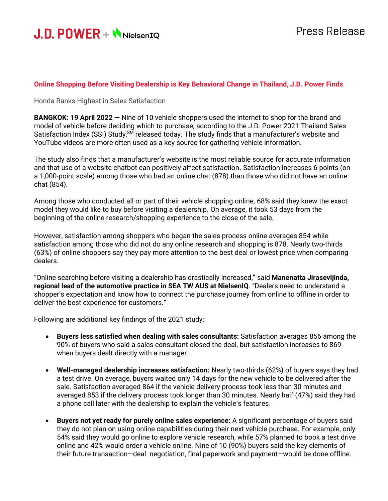

#### **Online Shopping Before Visiting Dealership is Key Behavioral Change in Thailand, J.D. Power Finds**

#### Honda Ranks Highest in Sales Satisfaction

**BANGKOK: 19 April 2022 —** Nine of 10 vehicle shoppers used the internet to shop for the brand and model of vehicle before deciding which to purchase, according to the J.D. Power 2021 Thailand Sales Satisfaction Index (SSI) Study,<sup>SM</sup> released today. The study finds that a manufacturer's website and YouTube videos are more often used as a key source for gathering vehicle information.

The study also finds that a manufacturer's website is the most reliable source for accurate information and that use of a website chatbot can positively affect satisfaction. Satisfaction increases 6 points (on a 1,000-point scale) among those who had an online chat (878) than those who did not have an online chat (854).

Among those who conducted all or part of their vehicle shopping online, 68% said they knew the exact model they would like to buy before visiting a dealership. On average, it took 53 days from the beginning of the online research/shopping experience to the close of the sale.

However, satisfaction among shoppers who began the sales process online averages 854 while satisfaction among those who did not do any online research and shopping is 878. Nearly two-thirds (63%) of online shoppers say they pay more attention to the best deal or lowest price when comparing dealers.

"Online searching before visiting a dealership has drastically increased," said **Manenatta Jirasevijinda, regional lead of the automotive practice in SEA TW AUS at NielsenIQ**. "Dealers need to understand a shopper's expectation and know how to connect the purchase journey from online to offline in order to deliver the best experience for customers."

Following are additional key findings of the 2021 study:

- **Buyers less satisfied when dealing with sales consultants:** Satisfaction averages 856 among the 90% of buyers who said a sales consultant closed the deal, but satisfaction increases to 869 when buyers dealt directly with a manager.
- **Well-managed dealership increases satisfaction:** Nearly two-thirds (62%) of buyers says they had a test drive. On average, buyers waited only 14 days for the new vehicle to be delivered after the sale. Satisfaction averaged 864 if the vehicle delivery process took less than 30 minutes and averaged 853 if the delivery process took longer than 30 minutes. Nearly half (47%) said they had a phone call later with the dealership to explain the vehicle's features.
- **Buyers not yet ready for purely online sales experience:** A significant percentage of buyers said they do not plan on using online capabilities during their next vehicle purchase. For example, only 54% said they would go online to explore vehicle research, while 57% planned to book a test drive online and 42% would order a vehicle online. Nine of 10 (90%) buyers said the key elements of their future transaction—deal negotiation, final paperwork and payment—would be done offline.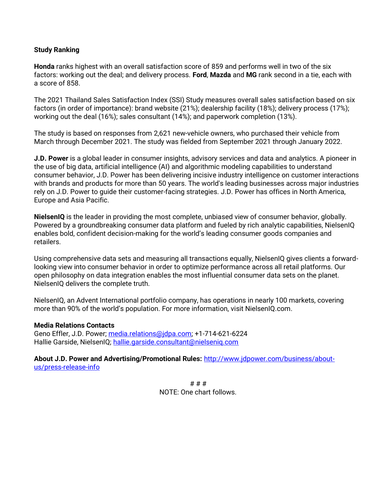## **Study Ranking**

**Honda** ranks highest with an overall satisfaction score of 859 and performs well in two of the six factors: working out the deal; and delivery process. **Ford**, **Mazda** and **MG** rank second in a tie, each with a score of 858.

The 2021 Thailand Sales Satisfaction Index (SSI) Study measures overall sales satisfaction based on six factors (in order of importance): brand website (21%); dealership facility (18%); delivery process (17%); working out the deal (16%); sales consultant (14%); and paperwork completion (13%).

The study is based on responses from 2,621 new-vehicle owners, who purchased their vehicle from March through December 2021. The study was fielded from September 2021 through January 2022.

**J.D. Power** is a global leader in consumer insights, advisory services and data and analytics. A pioneer in the use of big data, artificial intelligence (AI) and algorithmic modeling capabilities to understand consumer behavior, J.D. Power has been delivering incisive industry intelligence on customer interactions with brands and products for more than 50 years. The world's leading businesses across major industries rely on J.D. Power to guide their customer-facing strategies. J.D. Power has offices in North America, Europe and Asia Pacific.

**NielsenIQ** is the leader in providing the most complete, unbiased view of consumer behavior, globally. Powered by a groundbreaking consumer data platform and fueled by rich analytic capabilities, NielsenIQ enables bold, confident decision-making for the world's leading consumer goods companies and retailers.

Using comprehensive data sets and measuring all transactions equally, NielsenIQ gives clients a forwardlooking view into consumer behavior in order to optimize performance across all retail platforms. Our open philosophy on data integration enables the most influential consumer data sets on the planet. NielsenIQ delivers the complete truth.

NielsenIQ, an Advent International portfolio company, has operations in nearly 100 markets, covering more than 90% of the world's population. For more information, visit NielsenIQ.com.

## **Media Relations Contacts**

Geno Effler, J.D. Power; [media.relations@jdpa.com;](mailto:media.relations@jdpa.com) +1-714-621-6224 Hallie Garside, NielsenIQ; hallie.garside.consultant@nielseniq.com

**About J.D. Power and Advertising/Promotional Rules:** [http://www.jdpower.com/business/about](http://www.jdpower.com/business/about-us/press-release-info)[us/press-release-info](http://www.jdpower.com/business/about-us/press-release-info)

> # # # NOTE: One chart follows.